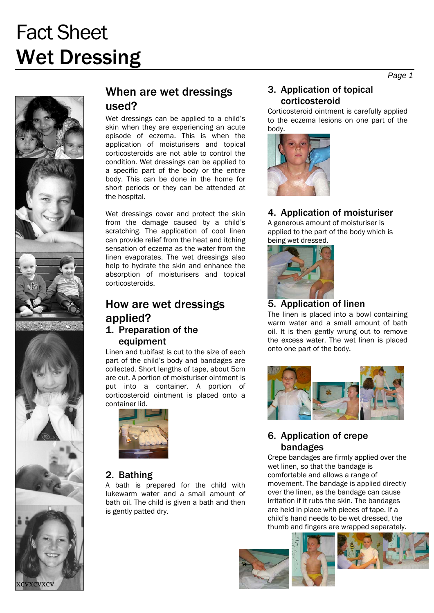# Fact Sheet Wet Dressing



## When are wet dressings used?

Wet dressings can be applied to a child's skin when they are experiencing an acute episode of eczema. This is when the application of moisturisers and topical corticosteroids are not able to control the condition. Wet dressings can be applied to a specific part of the body or the entire body. This can be done in the home for short periods or they can be attended at the hospital.

Wet dressings cover and protect the skin from the damage caused by a child's scratching. The application of cool linen can provide relief from the heat and itching sensation of eczema as the water from the linen evaporates. The wet dressings also help to hydrate the skin and enhance the absorption of moisturisers and topical corticosteroids.

## How are wet dressings applied? 1. Preparation of the

#### equipment

Linen and tubifast is cut to the size of each part of the child's body and bandages are collected. Short lengths of tape, about 5cm are cut. A portion of moisturiser ointment is put into a container. A portion of corticosteroid ointment is placed onto a container lid.



#### 2. Bathing

A bath is prepared for the child with lukewarm water and a small amount of bath oil. The child is given a bath and then is gently patted dry.

#### 3. Application of topical corticosteroid

Corticosteroid ointment is carefully applied to the eczema lesions on one part of the body.



### 4. Application of moisturiser

A generous amount of moisturiser is applied to the part of the body which is being wet dressed.



#### 5. Application of linen

The linen is placed into a bowl containing warm water and a small amount of bath oil. It is then gently wrung out to remove the excess water. The wet linen is placed onto one part of the body.



#### 6. Application of crepe bandages

Crepe bandages are firmly applied over the wet linen, so that the bandage is comfortable and allows a range of movement. The bandage is applied directly over the linen, as the bandage can cause irritation if it rubs the skin. The bandages are held in place with pieces of tape. If a child's hand needs to be wet dressed, the thumb and fingers are wrapped separately.





*Page 1*